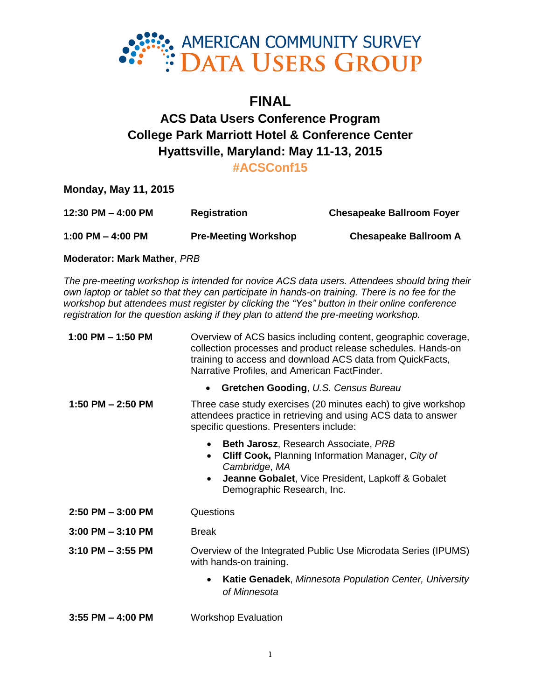

# **FINAL**

# **ACS Data Users Conference Program College Park Marriott Hotel & Conference Center Hyattsville, Maryland: May 11-13, 2015**

# **#ACSConf15**

**Monday, May 11, 2015**

| 12:30 PM $-$ 4:00 PM | <b>Registration</b>         | <b>Chesapeake Ballroom Foyer</b> |
|----------------------|-----------------------------|----------------------------------|
| 1:00 PM $-$ 4:00 PM  | <b>Pre-Meeting Workshop</b> | <b>Chesapeake Ballroom A</b>     |

**Moderator: Mark Mather**, *PRB*

*The pre-meeting workshop is intended for novice ACS data users. Attendees should bring their own laptop or tablet so that they can participate in hands-on training. There is no fee for the workshop but attendees must register by clicking the "Yes" button in their online conference registration for the question asking if they plan to attend the pre-meeting workshop.*

| 1:00 PM $-$ 1:50 PM   | Overview of ACS basics including content, geographic coverage,<br>collection processes and product release schedules. Hands-on<br>training to access and download ACS data from QuickFacts,<br>Narrative Profiles, and American FactFinder. |
|-----------------------|---------------------------------------------------------------------------------------------------------------------------------------------------------------------------------------------------------------------------------------------|
|                       | Gretchen Gooding, U.S. Census Bureau<br>$\bullet$                                                                                                                                                                                           |
| 1:50 PM $-$ 2:50 PM   | Three case study exercises (20 minutes each) to give workshop<br>attendees practice in retrieving and using ACS data to answer<br>specific questions. Presenters include:                                                                   |
|                       | <b>Beth Jarosz, Research Associate, PRB</b><br>$\bullet$<br>Cliff Cook, Planning Information Manager, City of<br>$\bullet$<br>Cambridge, MA<br>Jeanne Gobalet, Vice President, Lapkoff & Gobalet<br>$\bullet$<br>Demographic Research, Inc. |
| $2:50$ PM $-3:00$ PM  | Questions                                                                                                                                                                                                                                   |
| $3:00$ PM $-3:10$ PM  | <b>Break</b>                                                                                                                                                                                                                                |
| $3:10$ PM $-3:55$ PM  | Overview of the Integrated Public Use Microdata Series (IPUMS)<br>with hands-on training.                                                                                                                                                   |
|                       | <b>Katie Genadek, Minnesota Population Center, University</b><br>$\bullet$<br>of Minnesota                                                                                                                                                  |
| $3:55$ PM $-$ 4:00 PM | <b>Workshop Evaluation</b>                                                                                                                                                                                                                  |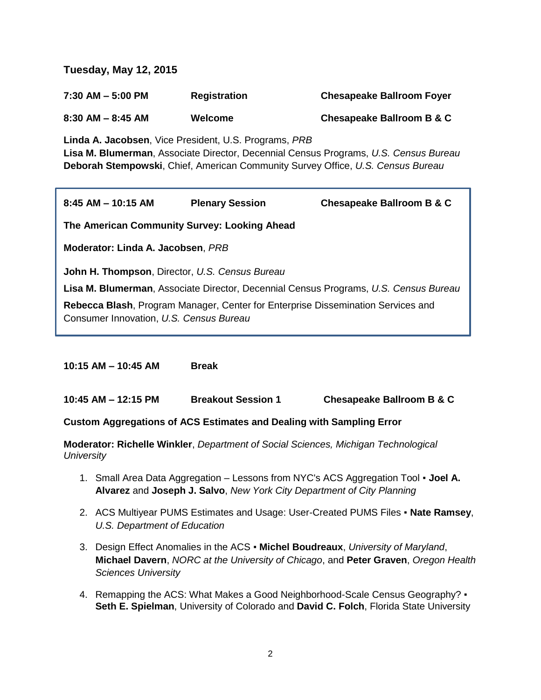**Tuesday, May 12, 2015**

| $7:30$ AM $-5:00$ PM | <b>Registration</b> | <b>Chesapeake Ballroom Foyer</b> |
|----------------------|---------------------|----------------------------------|
| $8:30$ AM $-8:45$ AM | Welcome             | Chesapeake Ballroom B & C        |

**Linda A. Jacobsen**, Vice President, U.S. Programs, *PRB* **Lisa M. Blumerman**, Associate Director, Decennial Census Programs, *U.S. Census Bureau* **Deborah Stempowski**, Chief, American Community Survey Office, *U.S. Census Bureau*

| $8:45$ AM $-$ 10:15 AM                                                                           | <b>Plenary Session</b>                                                                  | Chesapeake Ballroom B & C                                                            |  |
|--------------------------------------------------------------------------------------------------|-----------------------------------------------------------------------------------------|--------------------------------------------------------------------------------------|--|
| The American Community Survey: Looking Ahead                                                     |                                                                                         |                                                                                      |  |
| Moderator: Linda A. Jacobsen, PRB                                                                |                                                                                         |                                                                                      |  |
| <b>John H. Thompson, Director, U.S. Census Bureau</b><br>Consumer Innovation, U.S. Census Bureau | <b>Rebecca Blash, Program Manager, Center for Enterprise Dissemination Services and</b> | Lisa M. Blumerman, Associate Director, Decennial Census Programs, U.S. Census Bureau |  |

**10:15 AM – 10:45 AM Break**

**10:45 AM – 12:15 PM Breakout Session 1 Chesapeake Ballroom B & C**

# **Custom Aggregations of ACS Estimates and Dealing with Sampling Error**

**Moderator: Richelle Winkler**, *Department of Social Sciences, Michigan Technological University*

- 1. Small Area Data Aggregation Lessons from NYC's ACS Aggregation Tool **Joel A. Alvarez** and **Joseph J. Salvo**, *New York City Department of City Planning*
- 2. ACS Multiyear PUMS Estimates and Usage: User-Created PUMS Files **Nate Ramsey**, *U.S. Department of Education*
- 3. Design Effect Anomalies in the ACS **Michel Boudreaux**, *University of Maryland*, **Michael Davern**, *NORC at the University of Chicago*, and **Peter Graven**, *Oregon Health Sciences University*
- 4. Remapping the ACS: What Makes a Good Neighborhood-Scale Census Geography? **Seth E. Spielman**, University of Colorado and **David C. Folch**, Florida State University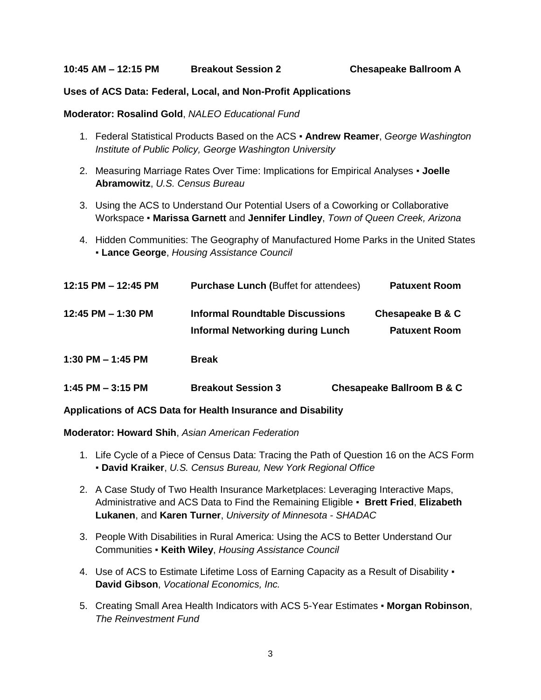#### **Uses of ACS Data: Federal, Local, and Non-Profit Applications**

# **Moderator: Rosalind Gold**, *NALEO Educational Fund*

- 1. Federal Statistical Products Based on the ACS **Andrew Reamer**, *George Washington Institute of Public Policy, George Washington University*
- 2. Measuring Marriage Rates Over Time: Implications for Empirical Analyses **Joelle Abramowitz**, *U.S. Census Bureau*
- 3. Using the ACS to Understand Our Potential Users of a Coworking or Collaborative Workspace ▪ **Marissa Garnett** and **Jennifer Lindley**, *Town of Queen Creek, Arizona*
- 4. Hidden Communities: The Geography of Manufactured Home Parks in the United States ▪ **Lance George**, *Housing Assistance Council*

| 12:15 PM - 12:45 PM | <b>Purchase Lunch (Buffet for attendees)</b>                               | <b>Patuxent Room</b>                     |
|---------------------|----------------------------------------------------------------------------|------------------------------------------|
| 12:45 PM - 1:30 PM  | Informal Roundtable Discussions<br><b>Informal Networking during Lunch</b> | Chesapeake B & C<br><b>Patuxent Room</b> |
| 1:30 PM $-$ 1:45 PM | <b>Break</b>                                                               |                                          |
| 1:45 PM $-$ 3:15 PM | <b>Breakout Session 3</b>                                                  | Chesapeake Ballroom B & C                |

# **Applications of ACS Data for Health Insurance and Disability**

#### **Moderator: Howard Shih**, *Asian American Federation*

- 1. Life Cycle of a Piece of Census Data: Tracing the Path of Question 16 on the ACS Form ▪ **David Kraiker**, *U.S. Census Bureau, New York Regional Office*
- 2. A Case Study of Two Health Insurance Marketplaces: Leveraging Interactive Maps, Administrative and ACS Data to Find the Remaining Eligible ▪ **Brett Fried**, **Elizabeth Lukanen**, and **Karen Turner**, *University of Minnesota - SHADAC*
- 3. People With Disabilities in Rural America: Using the ACS to Better Understand Our Communities ▪ **Keith Wiley**, *Housing Assistance Council*
- 4. Use of ACS to Estimate Lifetime Loss of Earning Capacity as a Result of Disability  $\cdot$ **David Gibson**, *Vocational Economics, Inc.*
- 5. Creating Small Area Health Indicators with ACS 5-Year Estimates **Morgan Robinson**, *The Reinvestment Fund*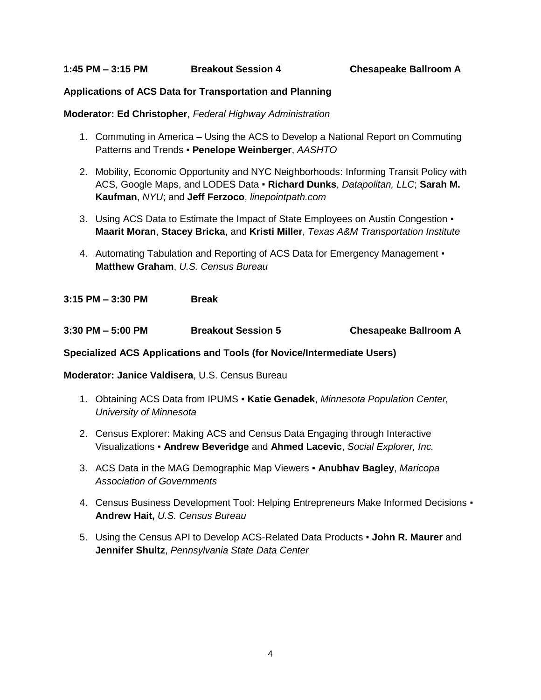# **Applications of ACS Data for Transportation and Planning**

# **Moderator: Ed Christopher**, *Federal Highway Administration*

- 1. Commuting in America Using the ACS to Develop a National Report on Commuting Patterns and Trends ▪ **Penelope Weinberger**, *AASHTO*
- 2. Mobility, Economic Opportunity and NYC Neighborhoods: Informing Transit Policy with ACS, Google Maps, and LODES Data ▪ **Richard Dunks**, *Datapolitan, LLC*; **Sarah M. Kaufman**, *NYU*; and **Jeff Ferzoco**, *linepointpath.com*
- 3. Using ACS Data to Estimate the Impact of State Employees on Austin Congestion **Maarit Moran**, **Stacey Bricka**, and **Kristi Miller**, *Texas A&M Transportation Institute*
- 4. Automating Tabulation and Reporting of ACS Data for Emergency Management **Matthew Graham**, *U.S. Census Bureau*

**3:15 PM – 3:30 PM Break**

**3:30 PM – 5:00 PM Breakout Session 5 Chesapeake Ballroom A**

**Specialized ACS Applications and Tools (for Novice/Intermediate Users)**

**Moderator: Janice Valdisera**, U.S. Census Bureau

- 1. Obtaining ACS Data from IPUMS **Katie Genadek**, *Minnesota Population Center, University of Minnesota*
- 2. Census Explorer: Making ACS and Census Data Engaging through Interactive Visualizations ▪ **Andrew Beveridge** and **Ahmed Lacevic**, *Social Explorer, Inc.*
- 3. ACS Data in the MAG Demographic Map Viewers **Anubhav Bagley**, *Maricopa Association of Governments*
- 4. Census Business Development Tool: Helping Entrepreneurs Make Informed Decisions **Andrew Hait,** *U.S. Census Bureau*
- 5. Using the Census API to Develop ACS-Related Data Products **John R. Maurer** and **Jennifer Shultz**, *Pennsylvania State Data Center*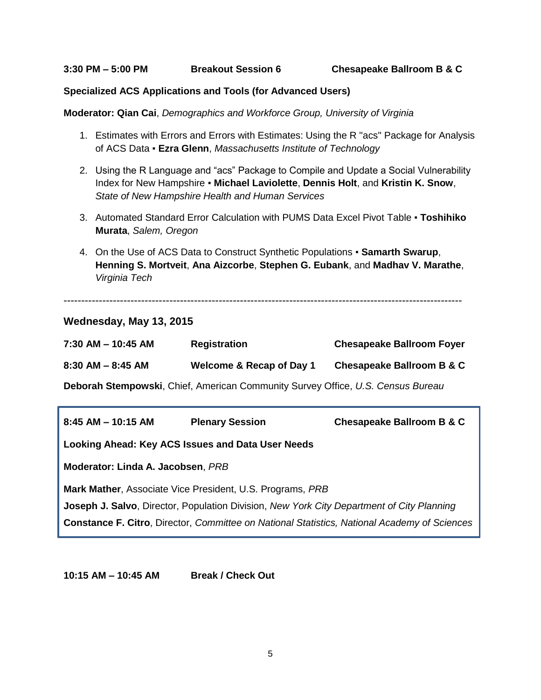#### **Specialized ACS Applications and Tools (for Advanced Users)**

**Moderator: Qian Cai**, *Demographics and Workforce Group, University of Virginia*

- 1. Estimates with Errors and Errors with Estimates: Using the R "acs" Package for Analysis of ACS Data ▪ **Ezra Glenn**, *Massachusetts Institute of Technology*
- 2. Using the R Language and "acs" Package to Compile and Update a Social Vulnerability Index for New Hampshire ▪ **Michael Laviolette**, **Dennis Holt**, and **Kristin K. Snow**, *State of New Hampshire Health and Human Services*
- 3. Automated Standard Error Calculation with PUMS Data Excel Pivot Table **Toshihiko Murata**, *Salem, Oregon*
- 4. On the Use of ACS Data to Construct Synthetic Populations **Samarth Swarup**, **Henning S. Mortveit**, **Ana Aizcorbe**, **Stephen G. Eubank**, and **Madhav V. Marathe**, *Virginia Tech*

-----------------------------------------------------------------------------------------------------------------

# **Wednesday, May 13, 2015**

| $7:30$ AM $-$ 10:45 AM | <b>Registration</b>      | <b>Chesapeake Ballroom Foyer</b> |
|------------------------|--------------------------|----------------------------------|
| $8:30$ AM $-8:45$ AM   | Welcome & Recap of Day 1 | Chesapeake Ballroom B & C        |

**Deborah Stempowski**, Chief, American Community Survey Office, *U.S. Census Bureau*

| $8:45$ AM $-$ 10:15 AM                                                                    | <b>Plenary Session</b> | <b>Chesapeake Ballroom B &amp; C</b>                                                                |  |
|-------------------------------------------------------------------------------------------|------------------------|-----------------------------------------------------------------------------------------------------|--|
| Looking Ahead: Key ACS Issues and Data User Needs                                         |                        |                                                                                                     |  |
| Moderator: Linda A. Jacobsen, PRB                                                         |                        |                                                                                                     |  |
| Mark Mather, Associate Vice President, U.S. Programs, PRB                                 |                        |                                                                                                     |  |
| Joseph J. Salvo, Director, Population Division, New York City Department of City Planning |                        |                                                                                                     |  |
|                                                                                           |                        | <b>Constance F. Citro, Director, Committee on National Statistics, National Academy of Sciences</b> |  |

**10:15 AM – 10:45 AM Break / Check Out**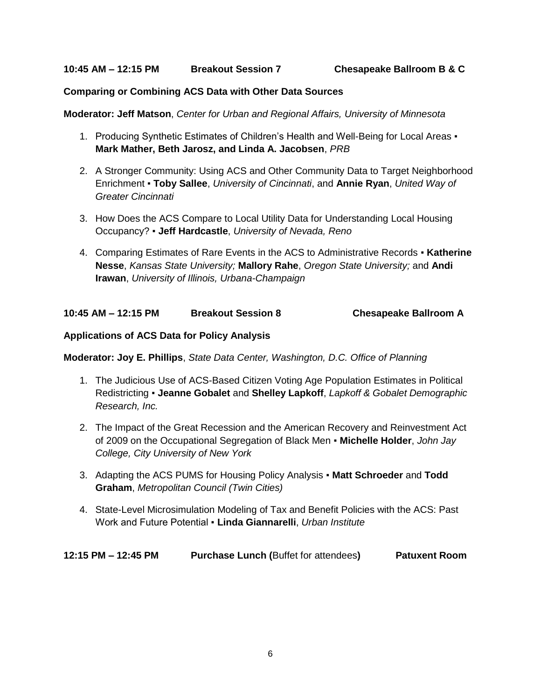# **Comparing or Combining ACS Data with Other Data Sources**

**Moderator: Jeff Matson**, *Center for Urban and Regional Affairs, University of Minnesota*

- 1. Producing Synthetic Estimates of Children's Health and Well-Being for Local Areas **Mark Mather, Beth Jarosz, and Linda A. Jacobsen**, *PRB*
- 2. A Stronger Community: Using ACS and Other Community Data to Target Neighborhood Enrichment ▪ **Toby Sallee**, *University of Cincinnati*, and **Annie Ryan**, *United Way of Greater Cincinnati*
- 3. How Does the ACS Compare to Local Utility Data for Understanding Local Housing Occupancy? ▪ **Jeff Hardcastle**, *University of Nevada, Reno*
- 4. Comparing Estimates of Rare Events in the ACS to Administrative Records **Katherine Nesse**, *Kansas State University;* **Mallory Rahe**, *Oregon State University;* and **Andi Irawan**, *University of Illinois, Urbana-Champaign*

| 10:45 AM – 12:15 PM | <b>Breakout Session 8</b> | <b>Chesapeake Ballroom A</b> |
|---------------------|---------------------------|------------------------------|
|                     |                           |                              |

# **Applications of ACS Data for Policy Analysis**

**Moderator: Joy E. Phillips**, *State Data Center, Washington, D.C. Office of Planning*

- 1. The Judicious Use of ACS-Based Citizen Voting Age Population Estimates in Political Redistricting ▪ **Jeanne Gobalet** and **Shelley Lapkoff**, *Lapkoff & Gobalet Demographic Research, Inc.*
- 2. The Impact of the Great Recession and the American Recovery and Reinvestment Act of 2009 on the Occupational Segregation of Black Men ▪ **Michelle Holder**, *John Jay College, City University of New York*
- 3. Adapting the ACS PUMS for Housing Policy Analysis **Matt Schroeder** and **Todd Graham**, *Metropolitan Council (Twin Cities)*
- 4. State-Level Microsimulation Modeling of Tax and Benefit Policies with the ACS: Past Work and Future Potential ▪ **Linda Giannarelli**, *Urban Institute*

| 12:15 PM - 12:45 PM | <b>Purchase Lunch (Buffet for attendees)</b> | <b>Patuxent Room</b> |
|---------------------|----------------------------------------------|----------------------|
|                     |                                              |                      |